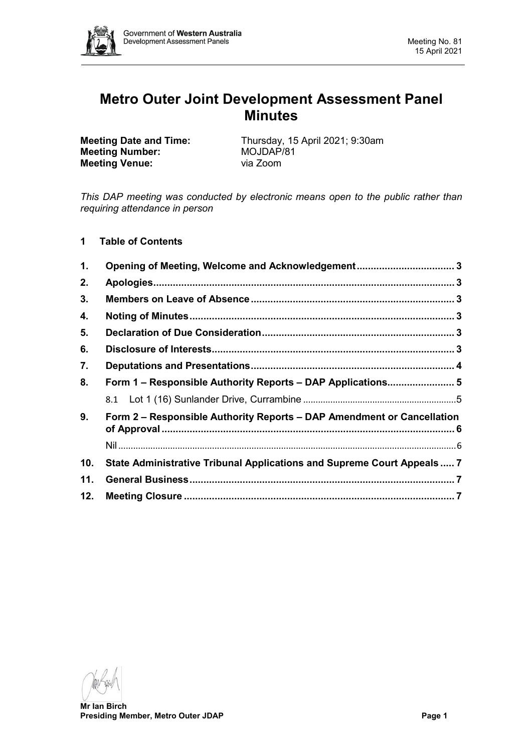

# **Metro Outer Joint Development Assessment Panel Minutes**

**Meeting Number:** MOJDAP<br> **Meeting Venue:** Via Zoom **Meeting Venue:** 

**Meeting Date and Time:** Thursday, 15 April 2021; 9:30am<br> **Meeting Number:** MOJDAP/81

*This DAP meeting was conducted by electronic means open to the public rather than requiring attendance in person*

**1 Table of Contents**

| 1.             | Opening of Meeting, Welcome and Acknowledgement 3                       |  |  |
|----------------|-------------------------------------------------------------------------|--|--|
| 2.             |                                                                         |  |  |
| 3.             |                                                                         |  |  |
| 4.             |                                                                         |  |  |
| 5.             |                                                                         |  |  |
| 6.             |                                                                         |  |  |
| 7.             |                                                                         |  |  |
| 8.             | Form 1 - Responsible Authority Reports - DAP Applications 5             |  |  |
|                |                                                                         |  |  |
| 9 <sub>1</sub> | Form 2 - Responsible Authority Reports - DAP Amendment or Cancellation  |  |  |
|                |                                                                         |  |  |
| 10.            | State Administrative Tribunal Applications and Supreme Court Appeals  7 |  |  |
| 11.            |                                                                         |  |  |
| 12.            |                                                                         |  |  |

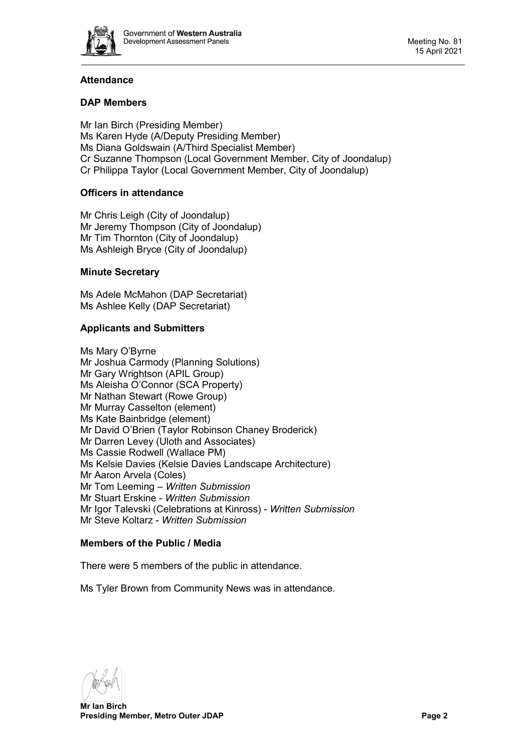

# **Attendance**

# **DAP Members**

Mr Ian Birch (Presiding Member) Ms Karen Hyde (A/Deputy Presiding Member) Ms Diana Goldswain (A/Third Specialist Member) Cr Suzanne Thompson (Local Government Member, City of Joondalup) Cr Philippa Taylor (Local Government Member, City of Joondalup)

# **Officers in attendance**

Mr Chris Leigh (City of Joondalup) Mr Jeremy Thompson (City of Joondalup) Mr Tim Thornton (City of Joondalup) Ms Ashleigh Bryce (City of Joondalup)

# **Minute Secretary**

Ms Adele McMahon (DAP Secretariat) Ms Ashlee Kelly (DAP Secretariat)

# **Applicants and Submitters**

Ms Mary O'Byrne Mr Joshua Carmody (Planning Solutions) Mr Gary Wrightson (APIL Group) Ms Aleisha O'Connor (SCA Property) Mr Nathan Stewart (Rowe Group) Mr Murray Casselton (element) Ms Kate Bainbridge (element) Mr David O'Brien (Taylor Robinson Chaney Broderick) Mr Darren Levey (Uloth and Associates) Ms Cassie Rodwell (Wallace PM) Ms Kelsie Davies (Kelsie Davies Landscape Architecture) Mr Aaron Arvela (Coles) Mr Tom Leeming – *Written Submission* Mr Stuart Erskine - *Written Submission* Mr Igor Talevski (Celebrations at Kinross) - *Written Submission* Mr Steve Koltarz - *Written Submission*

# **Members of the Public / Media**

There were 5 members of the public in attendance.

Ms Tyler Brown from Community News was in attendance.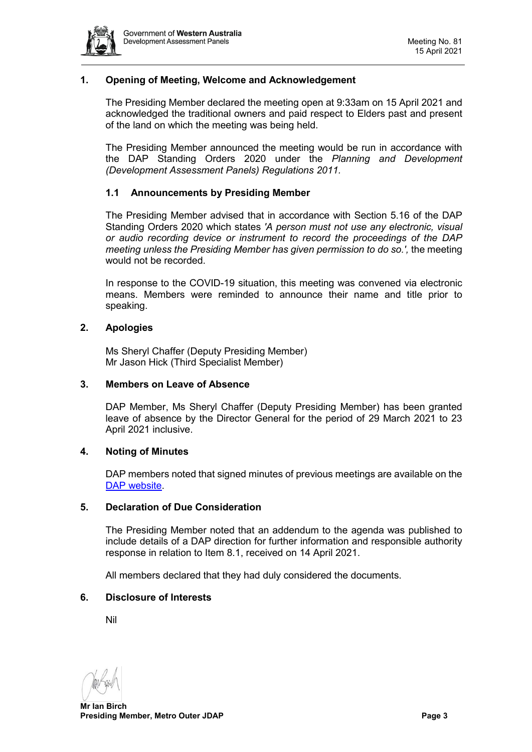

# <span id="page-2-0"></span>**1. Opening of Meeting, Welcome and Acknowledgement**

The Presiding Member declared the meeting open at 9:33am on 15 April 2021 and acknowledged the traditional owners and paid respect to Elders past and present of the land on which the meeting was being held.

The Presiding Member announced the meeting would be run in accordance with the DAP Standing Orders 2020 under the *Planning and Development (Development Assessment Panels) Regulations 2011.*

#### **1.1 Announcements by Presiding Member**

The Presiding Member advised that in accordance with Section 5.16 of the DAP Standing Orders 2020 which states *'A person must not use any electronic, visual or audio recording device or instrument to record the proceedings of the DAP meeting unless the Presiding Member has given permission to do so.',* the meeting would not be recorded.

In response to the COVID-19 situation, this meeting was convened via electronic means. Members were reminded to announce their name and title prior to speaking.

# <span id="page-2-1"></span>**2. Apologies**

Ms Sheryl Chaffer (Deputy Presiding Member) Mr Jason Hick (Third Specialist Member)

#### <span id="page-2-2"></span>**3. Members on Leave of Absence**

DAP Member, Ms Sheryl Chaffer (Deputy Presiding Member) has been granted leave of absence by the Director General for the period of 29 March 2021 to 23 April 2021 inclusive.

#### <span id="page-2-3"></span>**4. Noting of Minutes**

DAP members noted that signed minutes of previous meetings are available on the [DAP website.](https://www.dplh.wa.gov.au/about/development-assessment-panels/daps-agendas-and-minutes)

#### <span id="page-2-4"></span>**5. Declaration of Due Consideration**

The Presiding Member noted that an addendum to the agenda was published to include details of a DAP direction for further information and responsible authority response in relation to Item 8.1, received on 14 April 2021.

All members declared that they had duly considered the documents.

#### <span id="page-2-5"></span>**6. Disclosure of Interests**

Nil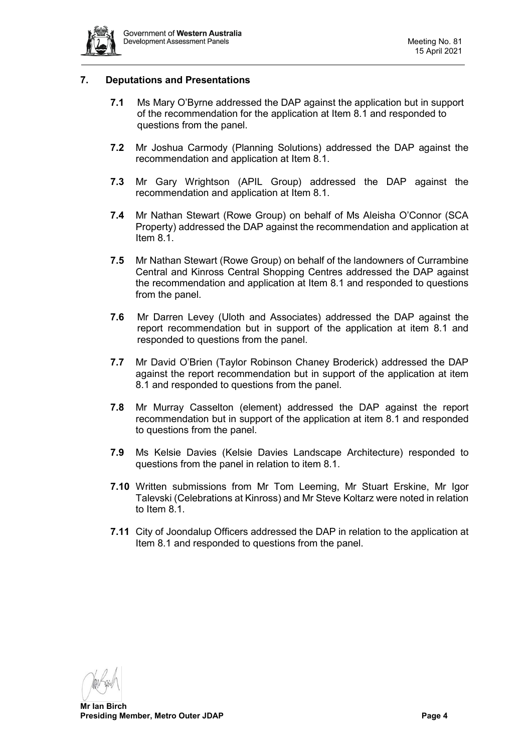

# <span id="page-3-0"></span>**7. Deputations and Presentations**

- **7.1** Ms Mary O'Byrne addressed the DAP against the application but in support of the recommendation for the application at Item 8.1 and responded to questions from the panel.
- **7.2** Mr Joshua Carmody (Planning Solutions) addressed the DAP against the recommendation and application at Item 8.1.
- **7.3** Mr Gary Wrightson (APIL Group) addressed the DAP against the recommendation and application at Item 8.1.
- **7.4** Mr Nathan Stewart (Rowe Group) on behalf of Ms Aleisha O'Connor (SCA Property) addressed the DAP against the recommendation and application at Item 8.1.
- **7.5** Mr Nathan Stewart (Rowe Group) on behalf of the landowners of Currambine Central and Kinross Central Shopping Centres addressed the DAP against the recommendation and application at Item 8.1 and responded to questions from the panel.
- **7.6** Mr Darren Levey (Uloth and Associates) addressed the DAP against the report recommendation but in support of the application at item 8.1 and responded to questions from the panel.
- **7.7** Mr David O'Brien (Taylor Robinson Chaney Broderick) addressed the DAP against the report recommendation but in support of the application at item 8.1 and responded to questions from the panel.
- **7.8** Mr Murray Casselton (element) addressed the DAP against the report recommendation but in support of the application at item 8.1 and responded to questions from the panel.
- **7.9** Ms Kelsie Davies (Kelsie Davies Landscape Architecture) responded to questions from the panel in relation to item 8.1.
- **7.10** Written submissions from Mr Tom Leeming, Mr Stuart Erskine, Mr Igor Talevski (Celebrations at Kinross) and Mr Steve Koltarz were noted in relation to Item 8.1.
- **7.11** City of Joondalup Officers addressed the DAP in relation to the application at Item 8.1 and responded to questions from the panel.

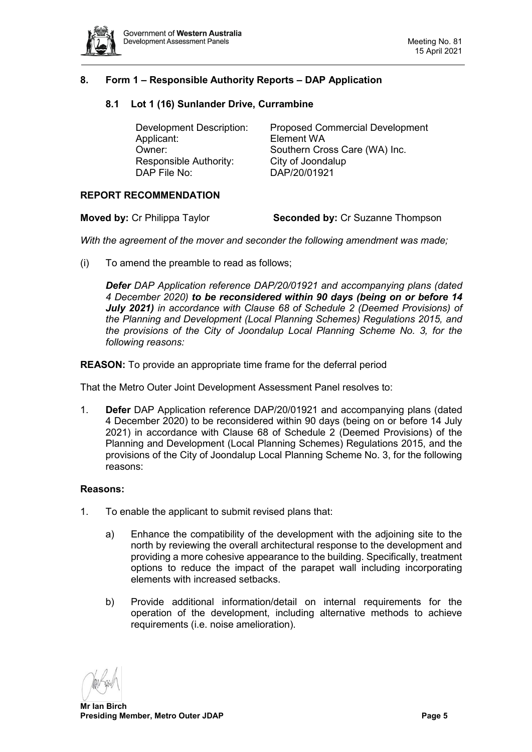

# <span id="page-4-1"></span><span id="page-4-0"></span>**8. Form 1 – Responsible Authority Reports – DAP Application**

#### **8.1 Lot 1 (16) Sunlander Drive, Currambine**

| <b>Development Description:</b> | <b>Proposed Commercial Development</b> |
|---------------------------------|----------------------------------------|
| Applicant:                      | Element WA                             |
| Owner:                          | Southern Cross Care (WA) Inc.          |
| Responsible Authority:          | City of Joondalup                      |
| DAP File No:                    | DAP/20/01921                           |
|                                 |                                        |

#### **REPORT RECOMMENDATION**

| <b>Moved by: Cr Philippa Taylor</b> | <b>Seconded by: Cr Suzanne Thompson</b> |
|-------------------------------------|-----------------------------------------|
|-------------------------------------|-----------------------------------------|

*With the agreement of the mover and seconder the following amendment was made;*

(i) To amend the preamble to read as follows;

*Defer DAP Application reference DAP/20/01921 and accompanying plans (dated 4 December 2020) to be reconsidered within 90 days (being on or before 14 July 2021) in accordance with Clause 68 of Schedule 2 (Deemed Provisions) of the Planning and Development (Local Planning Schemes) Regulations 2015, and the provisions of the City of Joondalup Local Planning Scheme No. 3, for the following reasons:*

**REASON:** To provide an appropriate time frame for the deferral period

That the Metro Outer Joint Development Assessment Panel resolves to:

1. **Defer** DAP Application reference DAP/20/01921 and accompanying plans (dated 4 December 2020) to be reconsidered within 90 days (being on or before 14 July 2021) in accordance with Clause 68 of Schedule 2 (Deemed Provisions) of the Planning and Development (Local Planning Schemes) Regulations 2015, and the provisions of the City of Joondalup Local Planning Scheme No. 3, for the following reasons:

#### **Reasons:**

- 1. To enable the applicant to submit revised plans that:
	- a) Enhance the compatibility of the development with the adjoining site to the north by reviewing the overall architectural response to the development and providing a more cohesive appearance to the building. Specifically, treatment options to reduce the impact of the parapet wall including incorporating elements with increased setbacks.
	- b) Provide additional information/detail on internal requirements for the operation of the development, including alternative methods to achieve requirements (i.e. noise amelioration).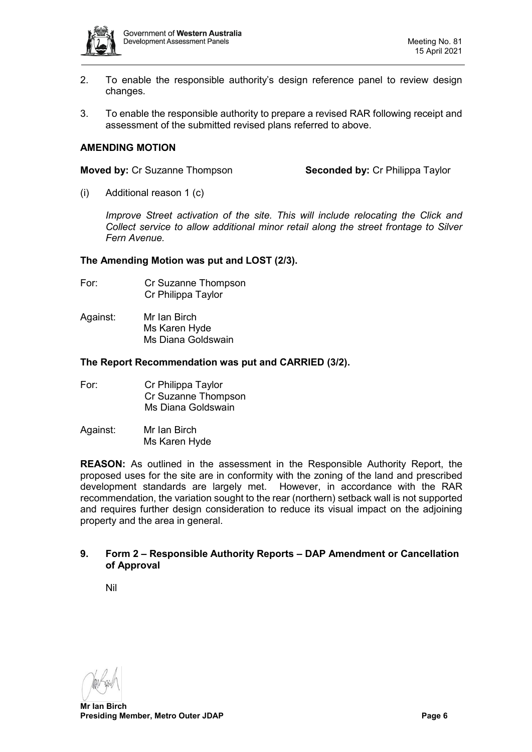

- 2. To enable the responsible authority's design reference panel to review design changes.
- 3. To enable the responsible authority to prepare a revised RAR following receipt and assessment of the submitted revised plans referred to above.

### **AMENDING MOTION**

**Moved by:** Cr Suzanne Thompson **Seconded by:** Cr Philippa Taylor

(i) Additional reason 1 (c)

*Improve Street activation of the site. This will include relocating the Click and Collect service to allow additional minor retail along the street frontage to Silver Fern Avenue.*

#### **The Amending Motion was put and LOST (2/3).**

- For: Cr Suzanne Thompson Cr Philippa Taylor
- Against: Mr Ian Birch Ms Karen Hyde Ms Diana Goldswain

#### **The Report Recommendation was put and CARRIED (3/2).**

| For: | Cr Philippa Taylor  |
|------|---------------------|
|      | Cr Suzanne Thompson |
|      | Ms Diana Goldswain  |
|      |                     |

Against: Mr Ian Birch Ms Karen Hyde

**REASON:** As outlined in the assessment in the Responsible Authority Report, the proposed uses for the site are in conformity with the zoning of the land and prescribed development standards are largely met. However, in accordance with the RAR recommendation, the variation sought to the rear (northern) setback wall is not supported and requires further design consideration to reduce its visual impact on the adjoining property and the area in general.

#### <span id="page-5-0"></span>**9. Form 2 – Responsible Authority Reports – DAP Amendment or Cancellation of Approval**

<span id="page-5-1"></span>Nil